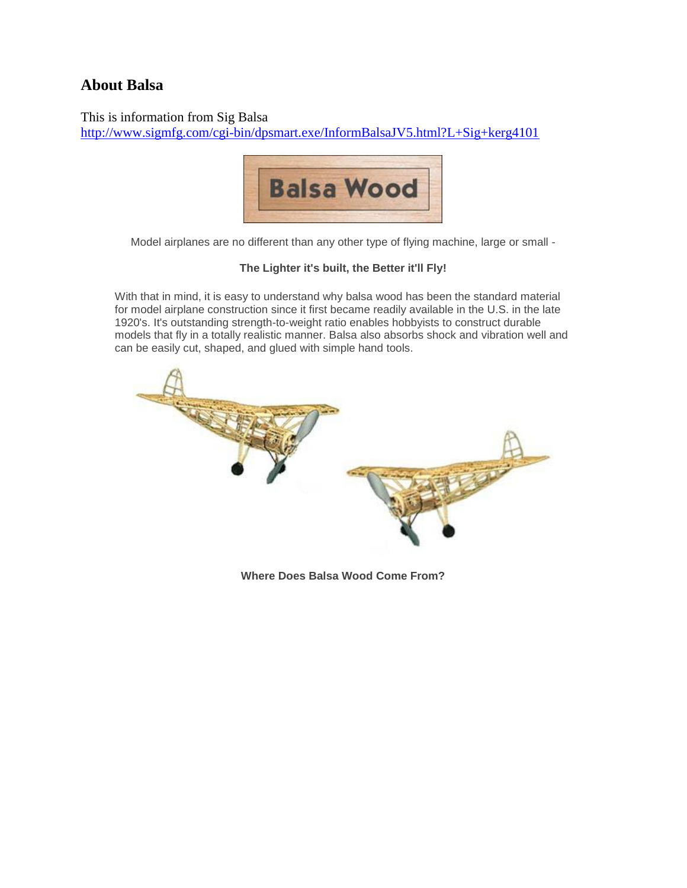## **About Balsa**

This is information from Sig Balsa <http://www.sigmfg.com/cgi-bin/dpsmart.exe/InformBalsaJV5.html?L+Sig+kerg4101>



Model airplanes are no different than any other type of flying machine, large or small -

## **The Lighter it's built, the Better it'll Fly!**

With that in mind, it is easy to understand why balsa wood has been the standard material for model airplane construction since it first became readily available in the U.S. in the late 1920's. It's outstanding strength-to-weight ratio enables hobbyists to construct durable models that fly in a totally realistic manner. Balsa also absorbs shock and vibration well and can be easily cut, shaped, and glued with simple hand tools.



**Where Does Balsa Wood Come From?**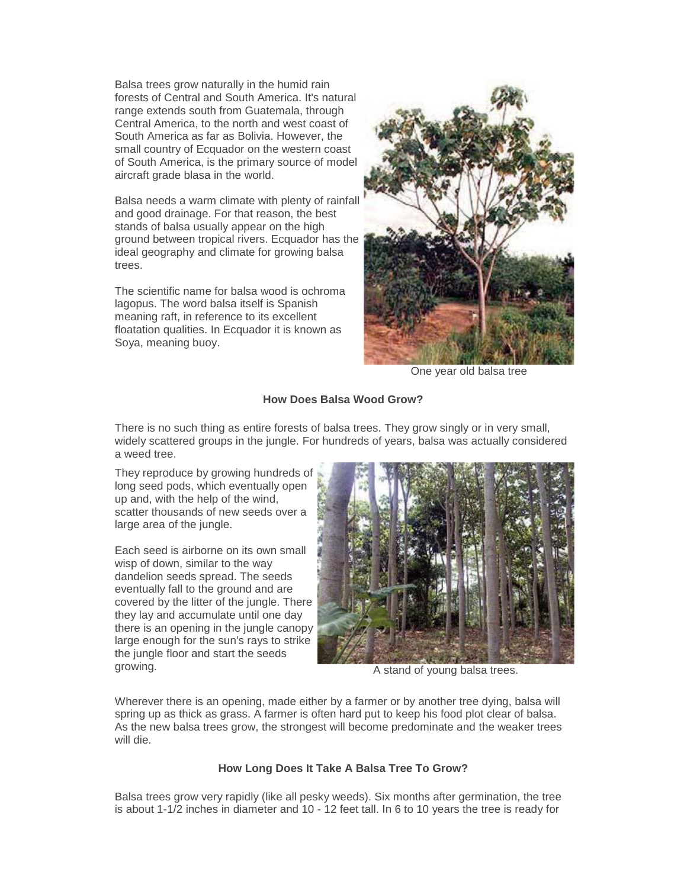Balsa trees grow naturally in the humid rain forests of Central and South America. It's natural range extends south from Guatemala, through Central America, to the north and west coast of South America as far as Bolivia. However, the small country of Ecquador on the western coast of South America, is the primary source of model aircraft grade blasa in the world.

Balsa needs a warm climate with plenty of rainfall and good drainage. For that reason, the best stands of balsa usually appear on the high ground between tropical rivers. Ecquador has the ideal geography and climate for growing balsa trees.

The scientific name for balsa wood is ochroma lagopus. The word balsa itself is Spanish meaning raft, in reference to its excellent floatation qualities. In Ecquador it is known as Soya, meaning buoy.



One year old balsa tree

#### **How Does Balsa Wood Grow?**

There is no such thing as entire forests of balsa trees. They grow singly or in very small, widely scattered groups in the jungle. For hundreds of years, balsa was actually considered a weed tree.

They reproduce by growing hundreds of long seed pods, which eventually open up and, with the help of the wind, scatter thousands of new seeds over a large area of the jungle.

Each seed is airborne on its own small wisp of down, similar to the way dandelion seeds spread. The seeds eventually fall to the ground and are covered by the litter of the jungle. There they lay and accumulate until one day there is an opening in the jungle canopy large enough for the sun's rays to strike the jungle floor and start the seeds growing. The stand of young balsa trees.



Wherever there is an opening, made either by a farmer or by another tree dying, balsa will spring up as thick as grass. A farmer is often hard put to keep his food plot clear of balsa. As the new balsa trees grow, the strongest will become predominate and the weaker trees will die.

#### **How Long Does It Take A Balsa Tree To Grow?**

Balsa trees grow very rapidly (like all pesky weeds). Six months after germination, the tree is about 1-1/2 inches in diameter and 10 - 12 feet tall. In 6 to 10 years the tree is ready for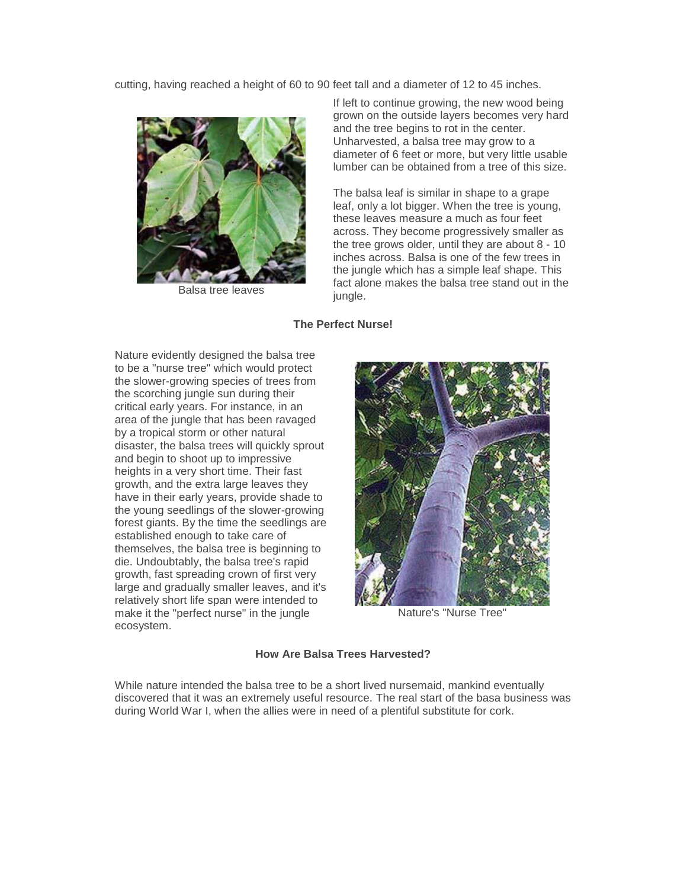cutting, having reached a height of 60 to 90 feet tall and a diameter of 12 to 45 inches.



Balsa tree leaves

If left to continue growing, the new wood being grown on the outside layers becomes very hard and the tree begins to rot in the center. Unharvested, a balsa tree may grow to a diameter of 6 feet or more, but very little usable lumber can be obtained from a tree of this size.

The balsa leaf is similar in shape to a grape leaf, only a lot bigger. When the tree is young, these leaves measure a much as four feet across. They become progressively smaller as the tree grows older, until they are about 8 - 10 inches across. Balsa is one of the few trees in the jungle which has a simple leaf shape. This fact alone makes the balsa tree stand out in the jungle.

#### **The Perfect Nurse!**

Nature evidently designed the balsa tree to be a "nurse tree" which would protect the slower-growing species of trees from the scorching jungle sun during their critical early years. For instance, in an area of the jungle that has been ravaged by a tropical storm or other natural disaster, the balsa trees will quickly sprout and begin to shoot up to impressive heights in a very short time. Their fast growth, and the extra large leaves they have in their early years, provide shade to the young seedlings of the slower-growing forest giants. By the time the seedlings are established enough to take care of themselves, the balsa tree is beginning to die. Undoubtably, the balsa tree's rapid growth, fast spreading crown of first very large and gradually smaller leaves, and it's relatively short life span were intended to make it the "perfect nurse" in the jungle ecosystem.



Nature's "Nurse Tree"

#### **How Are Balsa Trees Harvested?**

While nature intended the balsa tree to be a short lived nursemaid, mankind eventually discovered that it was an extremely useful resource. The real start of the basa business was during World War I, when the allies were in need of a plentiful substitute for cork.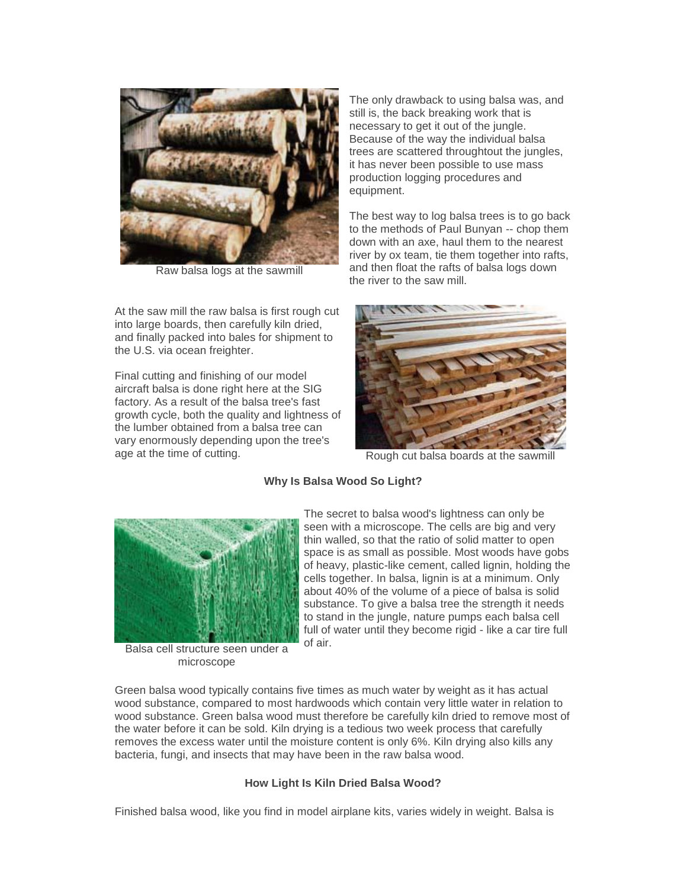

Raw balsa logs at the sawmill

At the saw mill the raw balsa is first rough cut into large boards, then carefully kiln dried, and finally packed into bales for shipment to the U.S. via ocean freighter.

Final cutting and finishing of our model aircraft balsa is done right here at the SIG factory. As a result of the balsa tree's fast growth cycle, both the quality and lightness of the lumber obtained from a balsa tree can vary enormously depending upon the tree's age at the time of cutting. The same is also a Rough cut balsa boards at the sawmill

The only drawback to using balsa was, and still is, the back breaking work that is necessary to get it out of the jungle. Because of the way the individual balsa trees are scattered throughtout the jungles, it has never been possible to use mass production logging procedures and equipment.

The best way to log balsa trees is to go back to the methods of Paul Bunyan -- chop them down with an axe, haul them to the nearest river by ox team, tie them together into rafts, and then float the rafts of balsa logs down the river to the saw mill.



#### **Why Is Balsa Wood So Light?**



Balsa cell structure seen under a microscope

The secret to balsa wood's lightness can only be seen with a microscope. The cells are big and very thin walled, so that the ratio of solid matter to open space is as small as possible. Most woods have gobs of heavy, plastic-like cement, called lignin, holding the cells together. In balsa, lignin is at a minimum. Only about 40% of the volume of a piece of balsa is solid substance. To give a balsa tree the strength it needs to stand in the jungle, nature pumps each balsa cell full of water until they become rigid - like a car tire full of air.

Green balsa wood typically contains five times as much water by weight as it has actual wood substance, compared to most hardwoods which contain very little water in relation to wood substance. Green balsa wood must therefore be carefully kiln dried to remove most of the water before it can be sold. Kiln drying is a tedious two week process that carefully removes the excess water until the moisture content is only 6%. Kiln drying also kills any bacteria, fungi, and insects that may have been in the raw balsa wood.

#### **How Light Is Kiln Dried Balsa Wood?**

Finished balsa wood, like you find in model airplane kits, varies widely in weight. Balsa is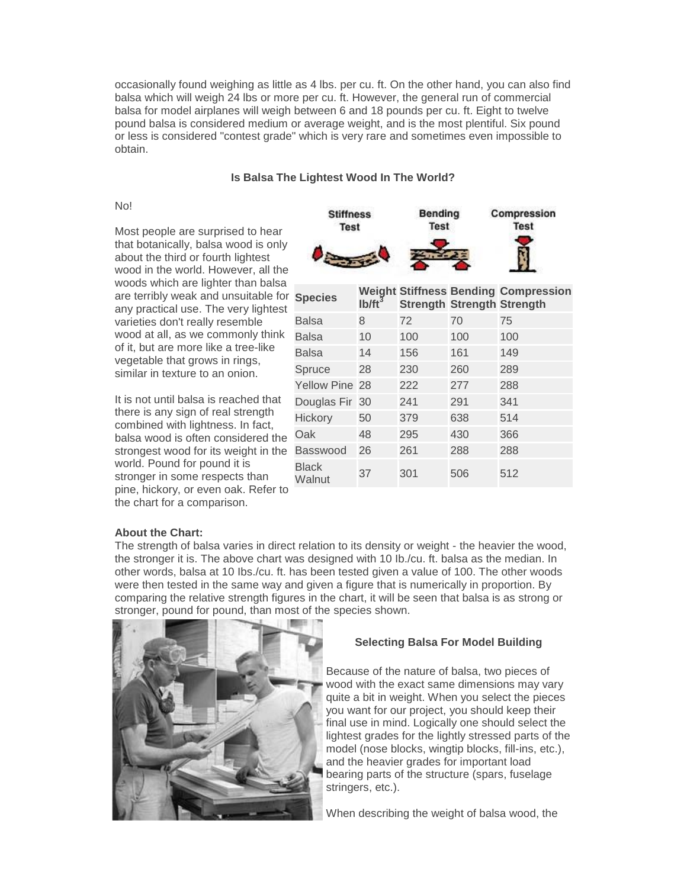occasionally found weighing as little as 4 lbs. per cu. ft. On the other hand, you can also find balsa which will weigh 24 lbs or more per cu. ft. However, the general run of commercial balsa for model airplanes will weigh between 6 and 18 pounds per cu. ft. Eight to twelve pound balsa is considered medium or average weight, and is the most plentiful. Six pound or less is considered "contest grade" which is very rare and sometimes even impossible to obtain.

#### **Is Balsa The Lightest Wood In The World?**

No!

Most people are surprised to hear that botanically, balsa wood is only about the third or fourth lightest wood in the world. However, all the woods which are lighter than balsa are terribly weak and unsuitable for any practical use. The very lightest varieties don't really resemble wood at all, as we commonly think of it, but are more like a tree-like vegetable that grows in rings, similar in texture to an onion.

It is not until balsa is reached that there is any sign of real strength combined with lightness. In fact, balsa wood is often considered the strongest wood for its weight in the world. Pound for pound it is stronger in some respects than pine, hickory, or even oak. Refer to the chart for a comparison.



|  | <b>Species</b>        | $1b/ft^3$ | <b>Strength Strength Strength</b> |     | <b>Weight Stiffness Bending Compression</b> |  |  |  |
|--|-----------------------|-----------|-----------------------------------|-----|---------------------------------------------|--|--|--|
|  | <b>Balsa</b>          | 8         | 72                                | 70  | 75                                          |  |  |  |
|  | Balsa                 | 10        | 100                               | 100 | 100                                         |  |  |  |
|  | <b>Balsa</b>          | 14        | 156                               | 161 | 149                                         |  |  |  |
|  | Spruce                | 28        | 230                               | 260 | 289                                         |  |  |  |
|  | <b>Yellow Pine 28</b> |           | 222                               | 277 | 288                                         |  |  |  |
|  | Douglas Fir 30        |           | 241                               | 291 | 341                                         |  |  |  |
|  | Hickory               | 50        | 379                               | 638 | 514                                         |  |  |  |
|  | Oak                   | 48        | 295                               | 430 | 366                                         |  |  |  |
|  | <b>Basswood</b>       | 26        | 261                               | 288 | 288                                         |  |  |  |
|  | Black<br>Walnut       | 37        | 301                               | 506 | 512                                         |  |  |  |

#### **About the Chart:**

The strength of balsa varies in direct relation to its density or weight - the heavier the wood, the stronger it is. The above chart was designed with 10 Ib./cu. ft. balsa as the median. In other words, balsa at 10 Ibs./cu. ft. has been tested given a value of 100. The other woods were then tested in the same way and given a figure that is numerically in proportion. By comparing the relative strength figures in the chart, it will be seen that balsa is as strong or stronger, pound for pound, than most of the species shown.



#### **Selecting Balsa For Model Building**

Because of the nature of balsa, two pieces of wood with the exact same dimensions may vary quite a bit in weight. When you select the pieces you want for our project, you should keep their final use in mind. Logically one should select the lightest grades for the lightly stressed parts of the model (nose blocks, wingtip blocks, fill-ins, etc.), and the heavier grades for important load bearing parts of the structure (spars, fuselage stringers, etc.).

When describing the weight of balsa wood, the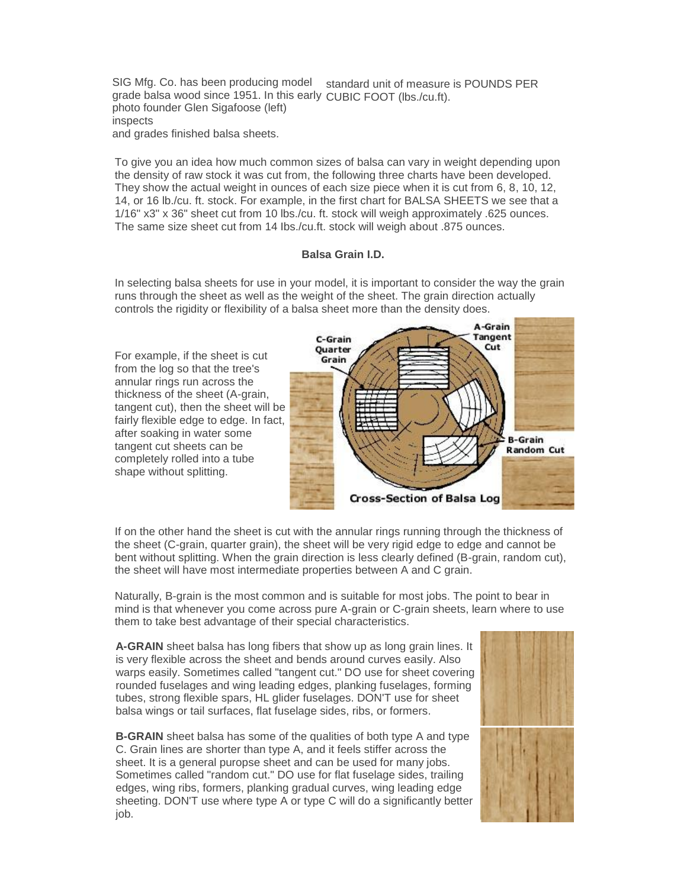SIG Mfg. Co. has been producing model standard unit of measure is POUNDS PER grade balsa wood since 1951. In this early CUBIC FOOT (lbs./cu.ft). photo founder Glen Sigafoose (left) inspects and grades finished balsa sheets.

To give you an idea how much common sizes of balsa can vary in weight depending upon the density of raw stock it was cut from, the following three charts have been developed. They show the actual weight in ounces of each size piece when it is cut from 6, 8, 10, 12, 14, or 16 lb./cu. ft. stock. For example, in the first chart for BALSA SHEETS we see that a 1/16" x3" x 36" sheet cut from 10 lbs./cu. ft. stock will weigh approximately .625 ounces. The same size sheet cut from 14 Ibs./cu.ft. stock will weigh about .875 ounces.

#### **Balsa Grain I.D.**

In selecting balsa sheets for use in your model, it is important to consider the way the grain runs through the sheet as well as the weight of the sheet. The grain direction actually controls the rigidity or flexibility of a balsa sheet more than the density does.

For example, if the sheet is cut from the log so that the tree's annular rings run across the thickness of the sheet (A-grain, tangent cut), then the sheet will be fairly flexible edge to edge. In fact, after soaking in water some tangent cut sheets can be completely rolled into a tube shape without splitting.



If on the other hand the sheet is cut with the annular rings running through the thickness of the sheet (C-grain, quarter grain), the sheet will be very rigid edge to edge and cannot be bent without splitting. When the grain direction is less clearly defined (B-grain, random cut), the sheet will have most intermediate properties between A and C grain.

Naturally, B-grain is the most common and is suitable for most jobs. The point to bear in mind is that whenever you come across pure A-grain or C-grain sheets, learn where to use them to take best advantage of their special characteristics.

**A-GRAIN** sheet balsa has long fibers that show up as long grain lines. It is very flexible across the sheet and bends around curves easily. Also warps easily. Sometimes called "tangent cut." DO use for sheet covering rounded fuselages and wing leading edges, planking fuselages, forming tubes, strong flexible spars, HL glider fuselages. DON'T use for sheet balsa wings or tail surfaces, flat fuselage sides, ribs, or formers.

**B-GRAIN** sheet balsa has some of the qualities of both type A and type C. Grain lines are shorter than type A, and it feels stiffer across the sheet. It is a general puropse sheet and can be used for many jobs. Sometimes called "random cut." DO use for flat fuselage sides, trailing edges, wing ribs, formers, planking gradual curves, wing leading edge sheeting. DON'T use where type A or type C will do a significantly better job.

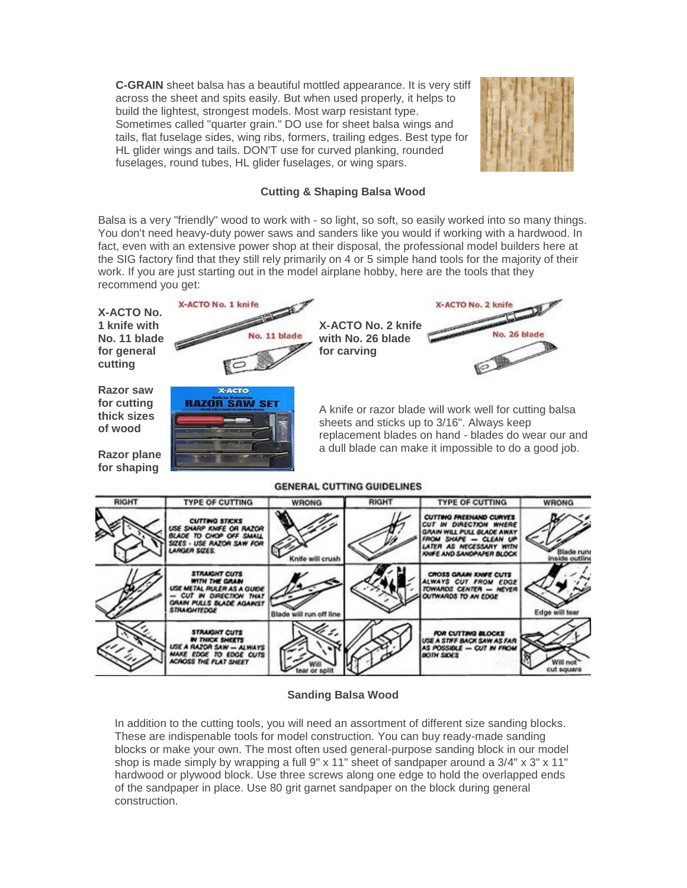**C-GRAIN** sheet balsa has a beautiful mottled appearance. It is very stiff across the sheet and spits easily. But when used properly, it helps to build the lightest, strongest models. Most warp resistant type. Sometimes called "quarter grain." DO use for sheet balsa wings and tails, flat fuselage sides, wing ribs, formers, trailing edges. Best type for HL glider wings and tails. DON'T use for curved planking, rounded fuselages, round tubes, HL glider fuselages, or wing spars.



#### **Cutting & Shaping Balsa Wood**

Balsa is a very "friendly" wood to work with - so light, so soft, so easily worked into so many things. You don't need heavy-duty power saws and sanders like you would if working with a hardwood. In fact, even with an extensive power shop at their disposal, the professional model builders here at the SIG factory find that they still rely primarily on 4 or 5 simple hand tools for the majority of their work. If you are just starting out in the model airplane hobby, here are the tools that they recommend you get:



#### **GENERAL CUTTING GUIDELINES**

| <b>RIGHT</b> | <b>TYPE OF CUTTING</b>                                                                                                                                   | <b>WRONG</b>            | <b>RIGHT</b> | <b>TYPE OF CUTTING</b>                                                                                                                                                  | <b>WRONG</b>                 |
|--------------|----------------------------------------------------------------------------------------------------------------------------------------------------------|-------------------------|--------------|-------------------------------------------------------------------------------------------------------------------------------------------------------------------------|------------------------------|
|              | <b>CUTTING STICKS</b><br>USE SHARP KNIFE OR RAZOR<br>BLADE TO CHOP OFF SMALL<br>SIZES - USE RAZOR SAW FOR<br><b>ARGER SIZES.</b>                         | Knife will crush        |              | CUTTING FREEHAND CURVES<br>CUT IN DIRECTION WHERE<br><b>GRAIN WILL PULL BLADE AWAY</b><br>FROM SHAPE - CLEAN UP<br>LATER AS NECESSARY WITH<br>KNIFE AND SANDPAPER BLOCK | Blade runs<br>inside outline |
|              | <b>STRAIGHT CUTS</b><br><b>WITH THE GRASH</b><br>USE METAL PULER AS A GUIDE<br>CUT IN DIRECTION THAT<br>GRAIN PULLS BLADE AGAINST<br><b>STRAKIHTEDGE</b> | Blade will run off line |              | <b>CROSS GRAIN KNIFE CUTS</b><br>ALWAYS CUT FROM EDGE<br>TOWARDS CENTER - NEVER<br>OUTWARDS TO AN EDGE                                                                  | Edge will tear               |
|              | <b>STRAIGHT CUTS</b><br><b>IN THICK SHEETS</b><br>ISE A RAZOR SAW - ALWAYS<br>MAKE EDGE TO EDGE CUTS<br>ACAOSS THE FLAT SHEET                            |                         |              | FOR CUTTING BLOCKS<br>USE A STIFF BACK SAW AS FAR<br>AS POSSIBLE - CUT IN FROM<br><b>BOTH SIDES</b>                                                                     |                              |

#### **Sanding Balsa Wood**

In addition to the cutting tools, you will need an assortment of different size sanding blocks. These are indispenable tools for model construction. You can buy ready-made sanding blocks or make your own. The most often used general-purpose sanding block in our model shop is made simply by wrapping a full 9" x 11" sheet of sandpaper around a 3/4" x 3" x 11" hardwood or plywood block. Use three screws along one edge to hold the overlapped ends of the sandpaper in place. Use 80 grit garnet sandpaper on the block during general construction.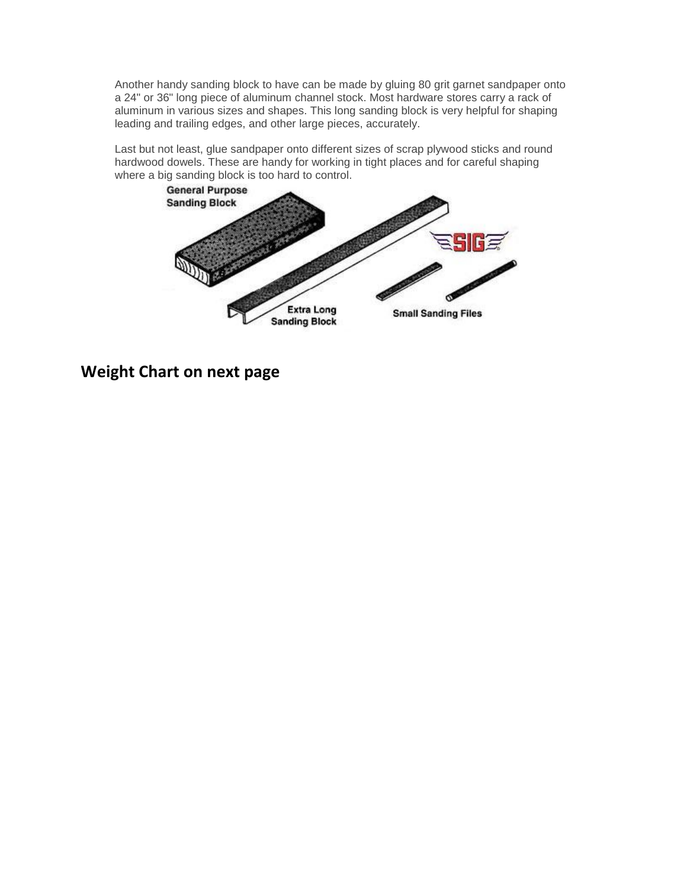Another handy sanding block to have can be made by gluing 80 grit garnet sandpaper onto a 24" or 36" long piece of aluminum channel stock. Most hardware stores carry a rack of aluminum in various sizes and shapes. This long sanding block is very helpful for shaping leading and trailing edges, and other large pieces, accurately.

Last but not least, glue sandpaper onto different sizes of scrap plywood sticks and round hardwood dowels. These are handy for working in tight places and for careful shaping where a big sanding block is too hard to control.



**Weight Chart on next page**